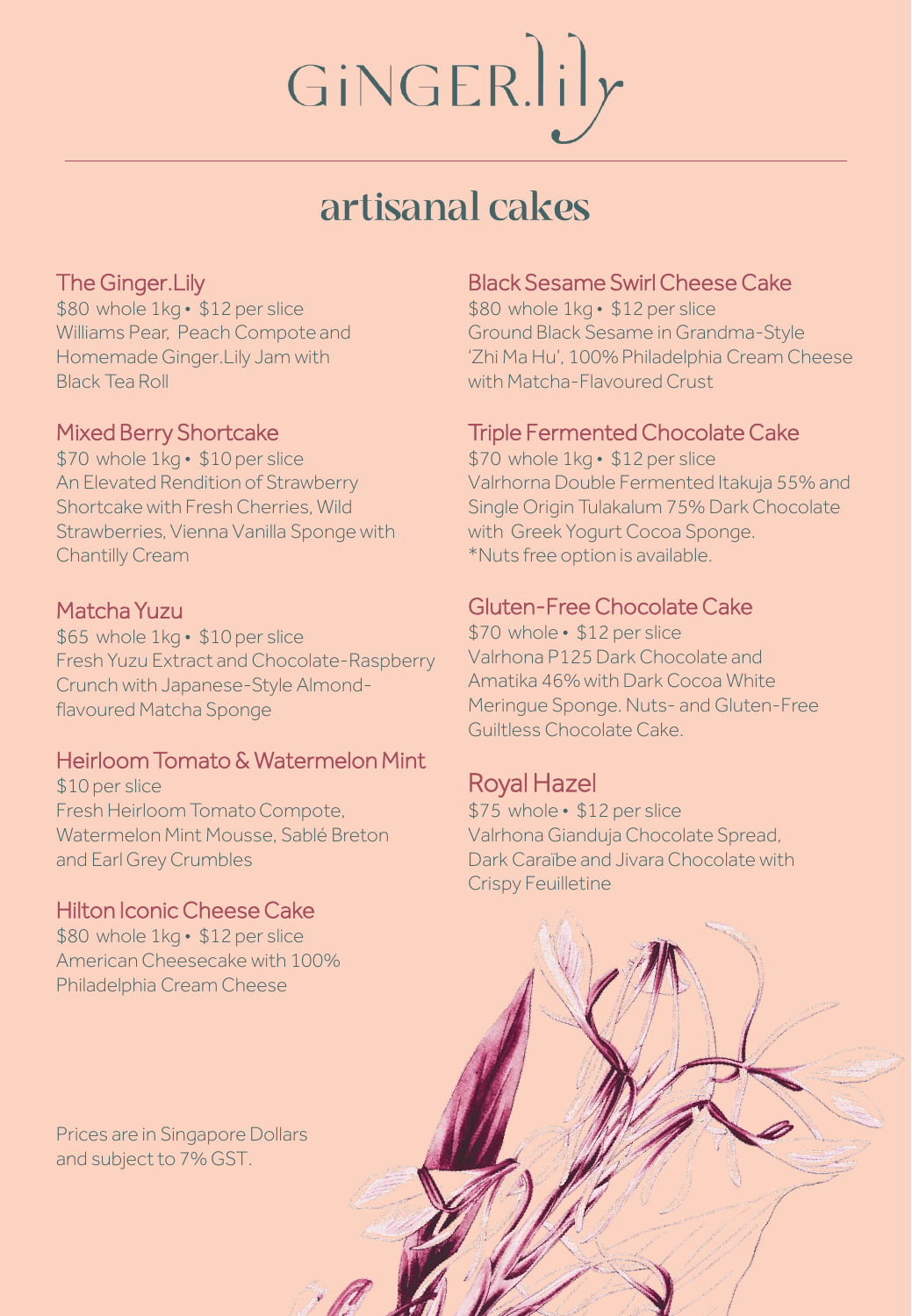# GINGER.lily

# artisanal cakes

# The Ginger.Lily

\$80 whole 1kg • \$12 per slice Williams Pear, Peach Compote and Homemade Ginger.Lily Jam with Black Tea Roll

# Mixed Berry Shortcake

\$70 whole 1kg • \$10 per slice An Elevated Rendition of Strawberry Shortcake with Fresh Cherries, Wild Strawberries, Vienna Vanilla Sponge with Chantilly Cream

## Matcha Yuzu

\$65 whole 1kg • \$10 per slice Fresh Yuzu Extract and Chocolate-Raspberry Crunch with Japanese-Style Almondflavoured Matcha Sponge

# Heirloom Tomato & Watermelon Mint

\$10 per slice Fresh Heirloom Tomato Compote, Watermelon Mint Mousse, Sablé Breton and Earl Grey Crumbles

## Hilton Iconic Cheese Cake

\$80 whole 1kg • \$12 per slice American Cheesecake with 100% Philadelphia Cream Cheese

Prices are in Singapore Dollars and subject to 7% GST.

#### Black Sesame Swirl Cheese Cake

\$80 whole 1kg • \$12 per slice Ground Black Sesame in Grandma-Style 'Zhi Ma Hu', 100% Philadelphia Cream Cheese with Matcha-Flavoured Crust

# Triple Fermented Chocolate Cake

\$70 whole 1kg • \$12 per slice Valrhorna Double Fermented Itakuja 55% and Single Origin Tulakalum 75% Dark Chocolate with Greek Yogurt Cocoa Sponge. \*Nuts free option is available.

## Gluten-Free Chocolate Cake

\$70 whole • \$12 per slice Valrhona P125 Dark Chocolate and Amatika 46% with Dark Cocoa White Meringue Sponge. Nuts- and Gluten-Free Guiltless Chocolate Cake.

# Royal Hazel

\$75 whole • \$12 per slice Valrhona Gianduja Chocolate Spread, Dark Caraïbe and Jivara Chocolate with Crispy Feuilletine